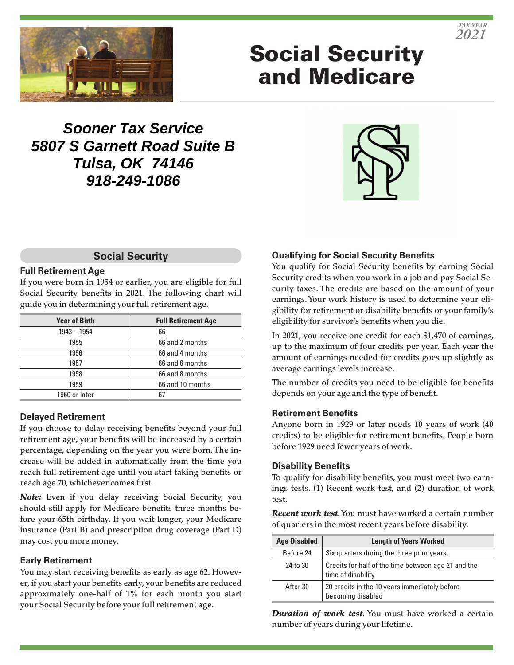

# Social Security and Medicare

# **Sooner Tax Service 5807 S Garnett Road Suite B Tulsa, OK 74146 918-249-1086**



#### **Social Security**

#### **Full Retirement Age**

If you were born in 1954 or earlier, you are eligible for full Social Security benefits in 2021. The following chart will guide you in determining your full retirement age.

| <b>Year of Birth</b> | <b>Full Retirement Age</b> |
|----------------------|----------------------------|
| $1943 - 1954$        | 66                         |
| 1955                 | 66 and 2 months            |
| 1956                 | 66 and 4 months            |
| 1957                 | 66 and 6 months            |
| 1958                 | 66 and 8 months            |
| 1959                 | 66 and 10 months           |
| 1960 or later        | 67                         |

#### **Delayed Retirement**

If you choose to delay receiving benefits beyond your full retirement age, your benefits will be increased by a certain percentage, depending on the year you were born. The increase will be added in automatically from the time you reach full retirement age until you start taking benefits or reach age 70, whichever comes first.

*Note:* Even if you delay receiving Social Security, you should still apply for Medicare benefits three months before your 65th birthday. If you wait longer, your Medicare insurance (Part B) and prescription drug coverage (Part D) may cost you more money.

#### **Early Retirement**

You may start receiving benefits as early as age 62. However, if you start your benefits early, your benefits are reduced approximately one-half of 1% for each month you start your Social Security before your full retirement age.

#### **Qualifying for Social Security Benefits**

You qualify for Social Security benefits by earning Social Security credits when you work in a job and pay Social Security taxes. The credits are based on the amount of your earnings. Your work history is used to determine your eligibility for retirement or disability benefits or your family's eligibility for survivor's benefits when you die.

In 2021, you receive one credit for each \$1,470 of earnings, up to the maximum of four credits per year. Each year the amount of earnings needed for credits goes up slightly as average earnings levels increase.

The number of credits you need to be eligible for benefits depends on your age and the type of benefit.

#### **Retirement Benefits**

Anyone born in 1929 or later needs 10 years of work (40 credits) to be eligible for retirement benefits. People born before 1929 need fewer years of work.

#### **Disability Benefits**

To qualify for disability benefits, you must meet two earnings tests. (1) Recent work test, and (2) duration of work test.

*Recent work test.* You must have worked a certain number of quarters in the most recent years before disability.

| <b>Age Disabled</b> | <b>Length of Years Worked</b>                                             |
|---------------------|---------------------------------------------------------------------------|
| Before 24           | Six quarters during the three prior years.                                |
| 24 to 30            | Credits for half of the time between age 21 and the<br>time of disability |
| After 30            | 20 credits in the 10 years immediately before<br>becoming disabled        |

*Duration of work test.* You must have worked a certain number of years during your lifetime.